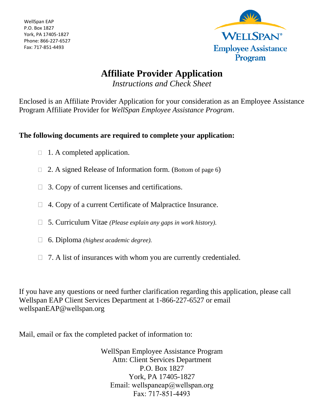WellSpan EAP P.O. Box 1827 York, PA 17405-1827 Phone: 866-227-6527 Fax: 717-851-4493



# **Affiliate Provider Application**

*Instructions and Check Sheet*

Enclosed is an Affiliate Provider Application for your consideration as an Employee Assistance Program Affiliate Provider for *WellSpan Employee Assistance Program*.

### **The following documents are required to complete your application:**

- $\Box$  1. A completed application.
- $\Box$  2. A signed Release of Information form. (Bottom of page 6)
- $\Box$  3. Copy of current licenses and certifications.
- 4. Copy of a current Certificate of Malpractice Insurance.
- 5. Curriculum Vitae *(Please explain any gaps in work history).*
- 6. Diploma *(highest academic degree).*
- $\Box$  7. A list of insurances with whom you are currently credentialed.

If you have any questions or need further clarification regarding this application, please call Wellspan EAP Client Services Department at 1-866-227-6527 or email w[ellspanEAP@](mailto:WellspanEAP@Wellspan.org)wellspan.org

Mail, email or fax the completed packet of information to:

WellSpan Employee Assistance Program Attn: Client Services Department P.O. Box 1827 York, PA 17405-1827 Email: wellspaneap@wellspan.org Fax: 717-851-4493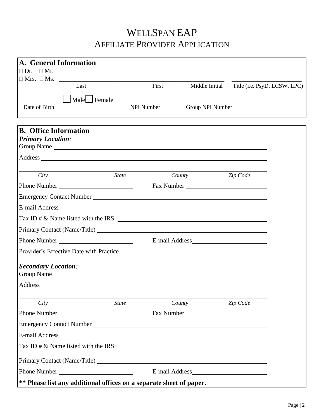# WELLSPAN EAP AFFILIATE PROVIDER APPLICATION

| A. General Information       |                                                                     |                   |                  |                              |  |  |
|------------------------------|---------------------------------------------------------------------|-------------------|------------------|------------------------------|--|--|
| $\Box$ Dr. $\Box$ Mr.        |                                                                     |                   |                  |                              |  |  |
|                              | Last                                                                | First             | Middle Initial   | Title (i.e. PsyD, LCSW, LPC) |  |  |
|                              |                                                                     |                   |                  |                              |  |  |
|                              | Male Hemale <sub>kale</sub>                                         |                   |                  |                              |  |  |
| Date of Birth                |                                                                     | <b>NPI Number</b> | Group NPI Number |                              |  |  |
|                              |                                                                     |                   |                  |                              |  |  |
| <b>B.</b> Office Information |                                                                     |                   |                  |                              |  |  |
| <b>Primary Location:</b>     |                                                                     |                   |                  |                              |  |  |
|                              |                                                                     |                   |                  |                              |  |  |
|                              |                                                                     |                   |                  |                              |  |  |
| City                         | <i>State</i>                                                        |                   | County           | Zip Code                     |  |  |
|                              |                                                                     |                   | Fax Number       |                              |  |  |
|                              |                                                                     |                   |                  |                              |  |  |
|                              |                                                                     |                   |                  |                              |  |  |
|                              |                                                                     |                   |                  |                              |  |  |
|                              |                                                                     |                   |                  |                              |  |  |
|                              | Phone Number                                                        |                   |                  |                              |  |  |
|                              |                                                                     |                   |                  |                              |  |  |
| <b>Secondary Location:</b>   |                                                                     |                   |                  |                              |  |  |
|                              |                                                                     |                   |                  |                              |  |  |
|                              |                                                                     |                   |                  |                              |  |  |
|                              |                                                                     |                   |                  |                              |  |  |
| City                         | <b>State</b>                                                        |                   | County           | Zip Code                     |  |  |
|                              |                                                                     |                   | Fax Number       |                              |  |  |
|                              |                                                                     |                   |                  |                              |  |  |
|                              |                                                                     |                   |                  |                              |  |  |
|                              |                                                                     |                   |                  |                              |  |  |
|                              |                                                                     |                   |                  |                              |  |  |
|                              | Phone Number                                                        |                   |                  |                              |  |  |
|                              | ** Please list any additional offices on a separate sheet of paper. |                   |                  |                              |  |  |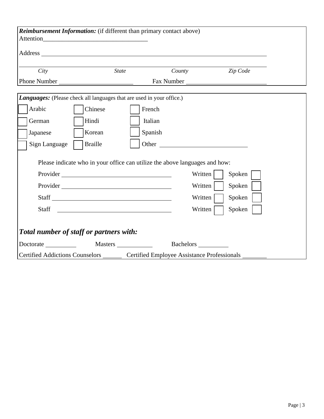|                                                                                         | <b>Reimbursement Information:</b> (if different than primary contact above)  |         |         |            |  |
|-----------------------------------------------------------------------------------------|------------------------------------------------------------------------------|---------|---------|------------|--|
|                                                                                         |                                                                              |         |         |            |  |
| City                                                                                    | <b>State</b>                                                                 |         | County  | Zip Code   |  |
| Phone Number                                                                            |                                                                              |         |         | Fax Number |  |
|                                                                                         | <b>Languages:</b> (Please check all languages that are used in your office.) |         |         |            |  |
| Arabic                                                                                  | Chinese                                                                      | French  |         |            |  |
| German                                                                                  | Hindi                                                                        | Italian |         |            |  |
| Japanese                                                                                | Korean                                                                       | Spanish |         |            |  |
| Sign Language                                                                           | <b>Braille</b>                                                               |         | Other   |            |  |
|                                                                                         | Please indicate who in your office can utilize the above languages and how:  |         |         |            |  |
|                                                                                         |                                                                              |         | Written | Spoken     |  |
|                                                                                         |                                                                              |         | Written | Spoken     |  |
|                                                                                         | Staff                                                                        |         | Written | Spoken     |  |
| Staff                                                                                   | <u> 1990 - Johann Barbara, martin a</u>                                      |         | Written | Spoken     |  |
|                                                                                         |                                                                              |         |         |            |  |
| Total number of staff or partners with:                                                 |                                                                              |         |         |            |  |
|                                                                                         |                                                                              |         |         |            |  |
| Certified Addictions Counselors ________ Certified Employee Assistance Professionals __ |                                                                              |         |         |            |  |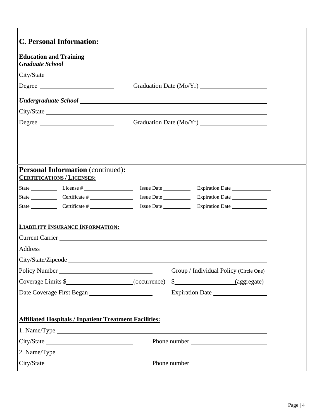| <b>Education and Training</b>                                                 |                                                                                                                    |
|-------------------------------------------------------------------------------|--------------------------------------------------------------------------------------------------------------------|
|                                                                               |                                                                                                                    |
|                                                                               |                                                                                                                    |
| Degree                                                                        |                                                                                                                    |
|                                                                               |                                                                                                                    |
|                                                                               |                                                                                                                    |
| Degree                                                                        |                                                                                                                    |
| <b>Personal Information (continued):</b><br><b>CERTIFICATIONS / LICENSES:</b> |                                                                                                                    |
| State License #                                                               |                                                                                                                    |
| State Certificate #                                                           |                                                                                                                    |
|                                                                               |                                                                                                                    |
| <b>LIABILITY INSURANCE INFORMATION:</b>                                       |                                                                                                                    |
|                                                                               |                                                                                                                    |
|                                                                               |                                                                                                                    |
|                                                                               |                                                                                                                    |
| Policy Number                                                                 |                                                                                                                    |
|                                                                               |                                                                                                                    |
|                                                                               |                                                                                                                    |
| <b>Affiliated Hospitals / Inpatient Treatment Facilities:</b>                 |                                                                                                                    |
|                                                                               |                                                                                                                    |
|                                                                               | Group / Individual Policy (Circle One)<br>$\frac{\S_{\text{max}}}{\S_{\text{max}}}$ (aggregate)<br>Expiration Date |
|                                                                               |                                                                                                                    |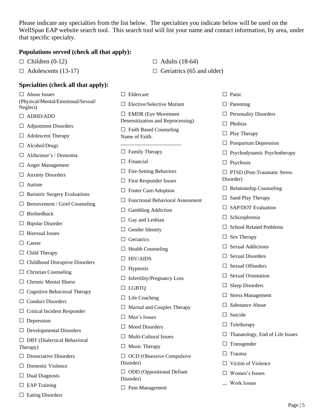Please indicate any specialties from the list below. The specialties you indicate below will be used on the WellSpan EAP website search tool. This search tool will list your name and contact information, by area, under that specific specialty.

#### **Populations served (check all that apply):**

 $\Box$  Children (0-12)  $\Box$  Adults (18-64)

 $\Box$  Adolescents (13-17)  $\Box$  Geriatrics (65 and older)

#### **Specialties (check all that apply):**

□ Abuse Issues (Physical/Mental/Emotional/Sexual/ Neglect)

- □ ADHD/ADD
- □ Adjustment Disorders

□ Adolescent Therapy

□ Alcohol/Drugs

□ Alzheimer's / Dementia

□ Anger Management

□ Anxiety Disorders

□ Autism

- $\Box$  Bariatric Surgery Evaluations
- $\square$  Bereavement / Grief Counseling

 $\Box$  Biofeedback

□ Bipolar Disorder

 $\Box$  Bisexual Issues

□ Career

- $\Box$  Child Therapy
- $\Box$  Childhood Disruptive Disorders

 $\Box$  Christian Counseling

□ Chronic Mental Illness

 $\Box$  Cognitive Behavioral Therapy

□ Conduct Disorders

□ Critical Incident Responder

□ Depression

 $\square$  Developmental Disorders

□ DBT (Dialectical Behavioral Therapy)

 $\square$  Dissociative Disorders

□ Domestic Violence

- $\Box$  Dual Diagnosis
- $\square$  EAP Training
- □ Eating Disorders

□ Eldercare  $\Box$  Elective/Selective Mutism □ EMDR (Eye Movement Desensitization and Reprocessing)  $\Box$  Faith Based Counseling Name of Faith: \_\_\_\_\_\_\_\_\_\_\_\_\_\_\_\_\_\_\_\_\_\_\_  $\Box$  Family Therapy □ Financial □ Fire-Setting Behaviors □ First Responder Issues □ Foster Care/Adoption □ Functional Behavioral Assessment  $\Box$  Gambling Addiction  $\Box$  Gay and Lesbian □ Gender Identity □ Geriatrics  $\Box$  Health Counseling □ HIV/AIDS  $\Box$  Hypnosis □ Infertility/Pregnancy Loss □ LGBTQ  $\Box$  Life Coaching  $\Box$  Marital and Couples Therapy □ Men's Issues □ Mood Disorders  $\Box$  Multi-Cultural Issues □ Music Therapy  $\Box$  OCD (Obsessive Compulsive Disorder)

□ ODD (Oppositional Defiant Disorder)

 $\Box$  Pain Management

- □ Panic
- □ Parenting
- □ Personality Disorders
- $\Box$  Phobias
- □ Play Therapy
- □ Postpartum Depression
- □ Psychodynamic Psychotherapy
- □ Psychosis

□ PTSD (Post-Traumatic Stress Disorder)

- $\square$  Relationship Counseling
- $\Box$  Sand Play Therapy
- □ SAP/DOT Evaluation
- □ Schizophrenia
- □ School Related Problems
- □ Sex Therapy
- $\Box$  Sexual Addictions
- □ Sexual Disorders
- □ Sexual Offenders
- □ Sexual Orientation
- □ Sleep Disorders
- □ Stress Management
- □ Substance Abuse
- □ Suicide
- □ Teletherapy
- □ Thanatology, End of Life Issues
- □ Transgender
- □ Trauma
- □ Victim of Violence
- □ Women's Issues
- □ Work Issues ■